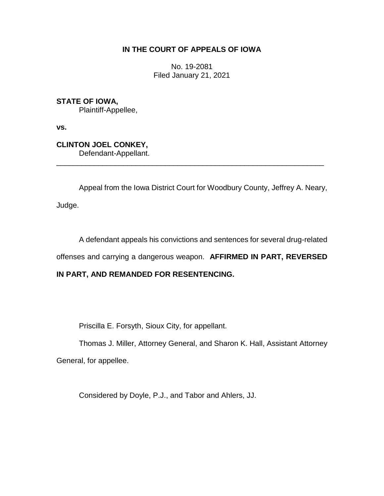## **IN THE COURT OF APPEALS OF IOWA**

No. 19-2081 Filed January 21, 2021

**STATE OF IOWA,** Plaintiff-Appellee,

**vs.**

**CLINTON JOEL CONKEY,** Defendant-Appellant.

Appeal from the Iowa District Court for Woodbury County, Jeffrey A. Neary,

\_\_\_\_\_\_\_\_\_\_\_\_\_\_\_\_\_\_\_\_\_\_\_\_\_\_\_\_\_\_\_\_\_\_\_\_\_\_\_\_\_\_\_\_\_\_\_\_\_\_\_\_\_\_\_\_\_\_\_\_\_\_\_\_

Judge.

A defendant appeals his convictions and sentences for several drug-related

offenses and carrying a dangerous weapon. **AFFIRMED IN PART, REVERSED** 

### **IN PART, AND REMANDED FOR RESENTENCING.**

Priscilla E. Forsyth, Sioux City, for appellant.

Thomas J. Miller, Attorney General, and Sharon K. Hall, Assistant Attorney General, for appellee.

Considered by Doyle, P.J., and Tabor and Ahlers, JJ.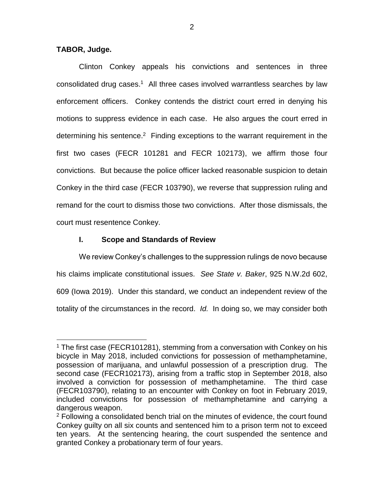#### **TABOR, Judge.**

 $\overline{a}$ 

Clinton Conkey appeals his convictions and sentences in three consolidated drug cases. 1 All three cases involved warrantless searches by law enforcement officers. Conkey contends the district court erred in denying his motions to suppress evidence in each case. He also argues the court erred in determining his sentence.<sup>2</sup> Finding exceptions to the warrant requirement in the first two cases (FECR 101281 and FECR 102173), we affirm those four convictions. But because the police officer lacked reasonable suspicion to detain Conkey in the third case (FECR 103790), we reverse that suppression ruling and remand for the court to dismiss those two convictions. After those dismissals, the court must resentence Conkey.

### **I. Scope and Standards of Review**

We review Conkey's challenges to the suppression rulings de novo because his claims implicate constitutional issues. *See State v. Baker*, 925 N.W.2d 602, 609 (Iowa 2019). Under this standard, we conduct an independent review of the totality of the circumstances in the record. *Id.* In doing so, we may consider both

<sup>&</sup>lt;sup>1</sup> The first case (FECR101281), stemming from a conversation with Conkey on his bicycle in May 2018, included convictions for possession of methamphetamine, possession of marijuana, and unlawful possession of a prescription drug. The second case (FECR102173), arising from a traffic stop in September 2018, also involved a conviction for possession of methamphetamine. The third case (FECR103790), relating to an encounter with Conkey on foot in February 2019, included convictions for possession of methamphetamine and carrying a dangerous weapon.

<sup>&</sup>lt;sup>2</sup> Following a consolidated bench trial on the minutes of evidence, the court found Conkey guilty on all six counts and sentenced him to a prison term not to exceed ten years. At the sentencing hearing, the court suspended the sentence and granted Conkey a probationary term of four years.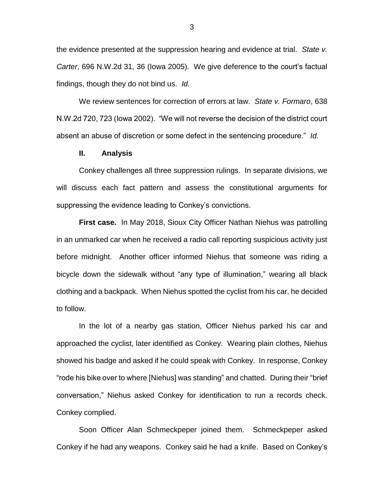the evidence presented at the suppression hearing and evidence at trial. *State v. Carter*, 696 N.W.2d 31, 36 (Iowa 2005).We give deference to the court's factual findings, though they do not bind us. *Id.* 

We review sentences for correction of errors at law. *State v. Formaro*, 638 N.W.2d 720, 723 (Iowa 2002). "We will not reverse the decision of the district court absent an abuse of discretion or some defect in the sentencing procedure." *Id.* 

#### **II. Analysis**

Conkey challenges all three suppression rulings. In separate divisions, we will discuss each fact pattern and assess the constitutional arguments for suppressing the evidence leading to Conkey's convictions.

**First case.** In May 2018, Sioux City Officer Nathan Niehus was patrolling in an unmarked car when he received a radio call reporting suspicious activity just before midnight. Another officer informed Niehus that someone was riding a bicycle down the sidewalk without "any type of illumination," wearing all black clothing and a backpack. When Niehus spotted the cyclist from his car, he decided to follow.

In the lot of a nearby gas station, Officer Niehus parked his car and approached the cyclist, later identified as Conkey. Wearing plain clothes, Niehus showed his badge and asked if he could speak with Conkey. In response, Conkey "rode his bike over to where [Niehus] was standing" and chatted. During their "brief conversation," Niehus asked Conkey for identification to run a records check. Conkey complied.

Soon Officer Alan Schmeckpeper joined them. Schmeckpeper asked Conkey if he had any weapons. Conkey said he had a knife. Based on Conkey's

3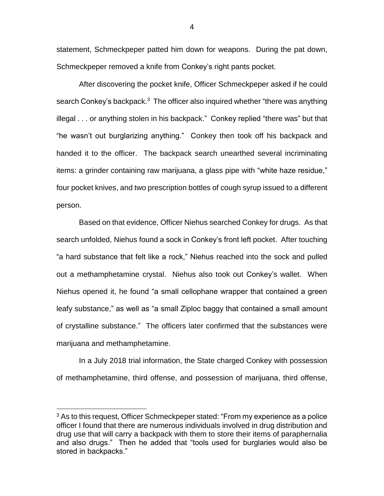statement, Schmeckpeper patted him down for weapons. During the pat down, Schmeckpeper removed a knife from Conkey's right pants pocket.

After discovering the pocket knife, Officer Schmeckpeper asked if he could search Conkey's backpack. $3$  The officer also inquired whether "there was anything illegal . . . or anything stolen in his backpack." Conkey replied "there was" but that "he wasn't out burglarizing anything." Conkey then took off his backpack and handed it to the officer. The backpack search unearthed several incriminating items: a grinder containing raw marijuana, a glass pipe with "white haze residue," four pocket knives, and two prescription bottles of cough syrup issued to a different person.

Based on that evidence, Officer Niehus searched Conkey for drugs. As that search unfolded, Niehus found a sock in Conkey's front left pocket. After touching "a hard substance that felt like a rock," Niehus reached into the sock and pulled out a methamphetamine crystal. Niehus also took out Conkey's wallet. When Niehus opened it, he found "a small cellophane wrapper that contained a green leafy substance," as well as "a small Ziploc baggy that contained a small amount of crystalline substance." The officers later confirmed that the substances were marijuana and methamphetamine.

In a July 2018 trial information, the State charged Conkey with possession of methamphetamine, third offense, and possession of marijuana, third offense,

 $\overline{a}$ 

4

<sup>&</sup>lt;sup>3</sup> As to this request, Officer Schmeckpeper stated: "From my experience as a police officer I found that there are numerous individuals involved in drug distribution and drug use that will carry a backpack with them to store their items of paraphernalia and also drugs." Then he added that "tools used for burglaries would also be stored in backpacks."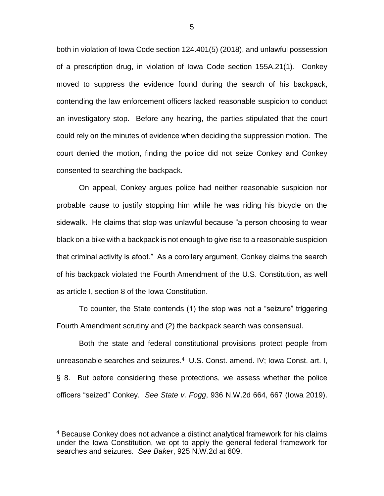both in violation of Iowa Code section 124.401(5) (2018), and unlawful possession of a prescription drug, in violation of Iowa Code section 155A.21(1). Conkey moved to suppress the evidence found during the search of his backpack, contending the law enforcement officers lacked reasonable suspicion to conduct an investigatory stop. Before any hearing, the parties stipulated that the court could rely on the minutes of evidence when deciding the suppression motion. The court denied the motion, finding the police did not seize Conkey and Conkey consented to searching the backpack.

On appeal, Conkey argues police had neither reasonable suspicion nor probable cause to justify stopping him while he was riding his bicycle on the sidewalk. He claims that stop was unlawful because "a person choosing to wear black on a bike with a backpack is not enough to give rise to a reasonable suspicion that criminal activity is afoot." As a corollary argument, Conkey claims the search of his backpack violated the Fourth Amendment of the U.S. Constitution, as well as article I, section 8 of the Iowa Constitution.

To counter, the State contends (1) the stop was not a "seizure" triggering Fourth Amendment scrutiny and (2) the backpack search was consensual.

Both the state and federal constitutional provisions protect people from unreasonable searches and seizures.<sup>4</sup> U.S. Const. amend. IV; Iowa Const. art. I, § 8. But before considering these protections, we assess whether the police officers "seized" Conkey. *See State v. Fogg*, 936 N.W.2d 664, 667 (Iowa 2019).

<sup>4</sup> Because Conkey does not advance a distinct analytical framework for his claims under the Iowa Constitution, we opt to apply the general federal framework for searches and seizures. *See Baker*, 925 N.W.2d at 609.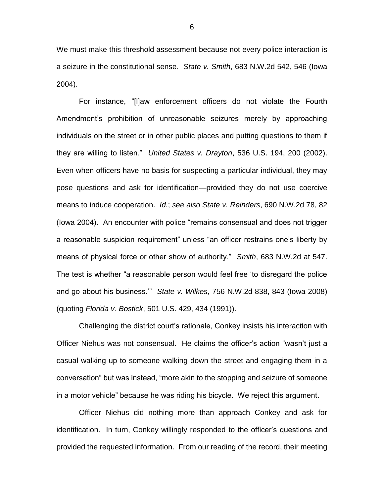We must make this threshold assessment because not every police interaction is a seizure in the constitutional sense. *State v. Smith*, 683 N.W.2d 542, 546 (Iowa 2004).

For instance, "[l]aw enforcement officers do not violate the Fourth Amendment's prohibition of unreasonable seizures merely by approaching individuals on the street or in other public places and putting questions to them if they are willing to listen." *United States v. Drayton*, 536 U.S. 194, 200 (2002). Even when officers have no basis for suspecting a particular individual, they may pose questions and ask for identification—provided they do not use coercive means to induce cooperation. *Id.*; *see also State v. Reinders*, 690 N.W.2d 78, 82 (Iowa 2004). An encounter with police "remains consensual and does not trigger a reasonable suspicion requirement" unless "an officer restrains one's liberty by means of physical force or other show of authority." *Smith*, 683 N.W.2d at 547. The test is whether "a reasonable person would feel free 'to disregard the police and go about his business.'" *State v. Wilkes*, 756 N.W.2d 838, 843 (Iowa 2008) (quoting *Florida v. Bostick*, 501 U.S. 429, 434 (1991)).

Challenging the district court's rationale, Conkey insists his interaction with Officer Niehus was not consensual. He claims the officer's action "wasn't just a casual walking up to someone walking down the street and engaging them in a conversation" but was instead, "more akin to the stopping and seizure of someone in a motor vehicle" because he was riding his bicycle. We reject this argument.

Officer Niehus did nothing more than approach Conkey and ask for identification. In turn, Conkey willingly responded to the officer's questions and provided the requested information. From our reading of the record, their meeting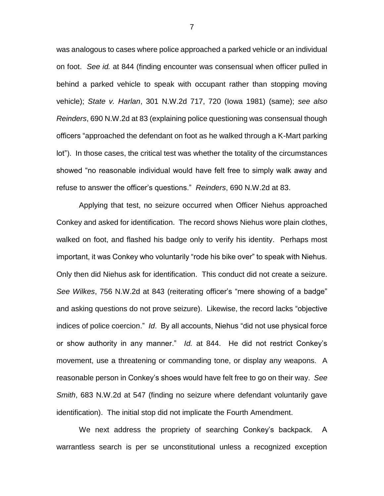was analogous to cases where police approached a parked vehicle or an individual on foot. *See id.* at 844 (finding encounter was consensual when officer pulled in behind a parked vehicle to speak with occupant rather than stopping moving vehicle); *State v. Harlan*, 301 N.W.2d 717, 720 (Iowa 1981) (same); *see also Reinders*, 690 N.W.2d at 83 (explaining police questioning was consensual though officers "approached the defendant on foot as he walked through a K-Mart parking lot"). In those cases, the critical test was whether the totality of the circumstances showed "no reasonable individual would have felt free to simply walk away and refuse to answer the officer's questions." *Reinders*, 690 N.W.2d at 83.

Applying that test, no seizure occurred when Officer Niehus approached Conkey and asked for identification. The record shows Niehus wore plain clothes, walked on foot, and flashed his badge only to verify his identity. Perhaps most important, it was Conkey who voluntarily "rode his bike over" to speak with Niehus. Only then did Niehus ask for identification. This conduct did not create a seizure. *See Wilkes*, 756 N.W.2d at 843 (reiterating officer's "mere showing of a badge" and asking questions do not prove seizure). Likewise, the record lacks "objective indices of police coercion." *Id*. By all accounts, Niehus "did not use physical force or show authority in any manner." *Id.* at 844. He did not restrict Conkey's movement, use a threatening or commanding tone, or display any weapons. A reasonable person in Conkey's shoes would have felt free to go on their way. *See Smith*, 683 N.W.2d at 547 (finding no seizure where defendant voluntarily gave identification). The initial stop did not implicate the Fourth Amendment.

We next address the propriety of searching Conkey's backpack. A warrantless search is per se unconstitutional unless a recognized exception

7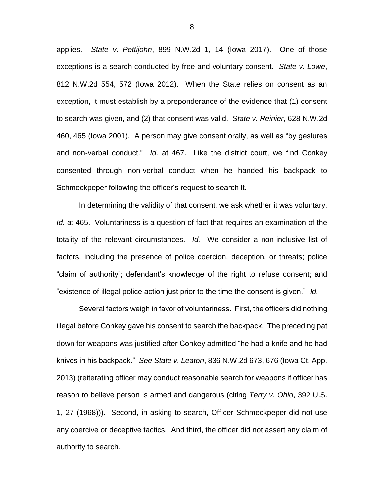applies. *State v. Pettijohn*, 899 N.W.2d 1, 14 (Iowa 2017). One of those exceptions is a search conducted by free and voluntary consent. *State v. Lowe*, 812 N.W.2d 554, 572 (Iowa 2012). When the State relies on consent as an exception, it must establish by a preponderance of the evidence that (1) consent to search was given, and (2) that consent was valid. *State v. Reinier*, 628 N.W.2d 460, 465 (Iowa 2001). A person may give consent orally, as well as "by gestures and non-verbal conduct." *Id.* at 467. Like the district court, we find Conkey consented through non-verbal conduct when he handed his backpack to Schmeckpeper following the officer's request to search it.

In determining the validity of that consent, we ask whether it was voluntary. *Id.* at 465. Voluntariness is a question of fact that requires an examination of the totality of the relevant circumstances. *Id.* We consider a non-inclusive list of factors, including the presence of police coercion, deception, or threats; police "claim of authority"; defendant's knowledge of the right to refuse consent; and "existence of illegal police action just prior to the time the consent is given." *Id.* 

Several factors weigh in favor of voluntariness. First, the officers did nothing illegal before Conkey gave his consent to search the backpack. The preceding pat down for weapons was justified after Conkey admitted "he had a knife and he had knives in his backpack." *See State v. Leaton*, 836 N.W.2d 673, 676 (Iowa Ct. App. 2013) (reiterating officer may conduct reasonable search for weapons if officer has reason to believe person is armed and dangerous (citing *Terry v. Ohio*, 392 U.S. 1, 27 (1968))). Second, in asking to search, Officer Schmeckpeper did not use any coercive or deceptive tactics. And third, the officer did not assert any claim of authority to search.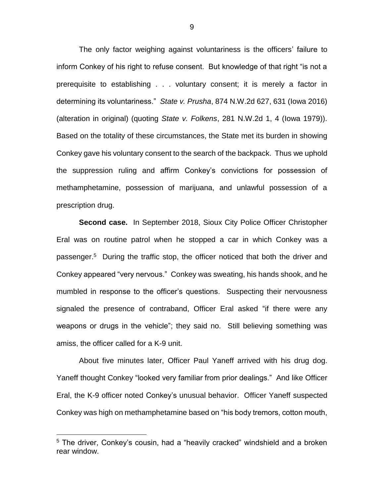The only factor weighing against voluntariness is the officers' failure to inform Conkey of his right to refuse consent. But knowledge of that right "is not a prerequisite to establishing . . . voluntary consent; it is merely a factor in determining its voluntariness." *State v. Prusha*, 874 N.W.2d 627, 631 (Iowa 2016) (alteration in original) (quoting *State v. Folkens*, 281 N.W.2d 1, 4 (Iowa 1979)). Based on the totality of these circumstances, the State met its burden in showing Conkey gave his voluntary consent to the search of the backpack. Thus we uphold the suppression ruling and affirm Conkey's convictions for possession of methamphetamine, possession of marijuana, and unlawful possession of a prescription drug.

**Second case.** In September 2018, Sioux City Police Officer Christopher Eral was on routine patrol when he stopped a car in which Conkey was a passenger. 5 During the traffic stop, the officer noticed that both the driver and Conkey appeared "very nervous." Conkey was sweating, his hands shook, and he mumbled in response to the officer's questions. Suspecting their nervousness signaled the presence of contraband, Officer Eral asked "if there were any weapons or drugs in the vehicle"; they said no. Still believing something was amiss, the officer called for a K-9 unit.

About five minutes later, Officer Paul Yaneff arrived with his drug dog. Yaneff thought Conkey "looked very familiar from prior dealings." And like Officer Eral, the K-9 officer noted Conkey's unusual behavior. Officer Yaneff suspected Conkey was high on methamphetamine based on "his body tremors, cotton mouth,

<sup>5</sup> The driver, Conkey's cousin, had a "heavily cracked" windshield and a broken rear window.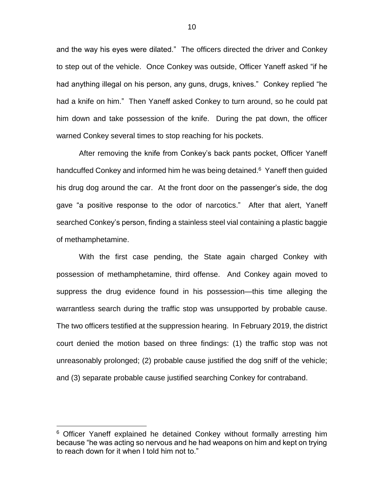and the way his eyes were dilated." The officers directed the driver and Conkey to step out of the vehicle. Once Conkey was outside, Officer Yaneff asked "if he had anything illegal on his person, any guns, drugs, knives." Conkey replied "he had a knife on him." Then Yaneff asked Conkey to turn around, so he could pat him down and take possession of the knife. During the pat down, the officer warned Conkey several times to stop reaching for his pockets.

After removing the knife from Conkey's back pants pocket, Officer Yaneff handcuffed Conkey and informed him he was being detained.<sup>6</sup> Yaneff then guided his drug dog around the car. At the front door on the passenger's side, the dog gave "a positive response to the odor of narcotics." After that alert, Yaneff searched Conkey's person, finding a stainless steel vial containing a plastic baggie of methamphetamine.

With the first case pending, the State again charged Conkey with possession of methamphetamine, third offense. And Conkey again moved to suppress the drug evidence found in his possession—this time alleging the warrantless search during the traffic stop was unsupported by probable cause. The two officers testified at the suppression hearing. In February 2019, the district court denied the motion based on three findings: (1) the traffic stop was not unreasonably prolonged; (2) probable cause justified the dog sniff of the vehicle; and (3) separate probable cause justified searching Conkey for contraband.

<sup>&</sup>lt;sup>6</sup> Officer Yaneff explained he detained Conkey without formally arresting him because "he was acting so nervous and he had weapons on him and kept on trying to reach down for it when I told him not to."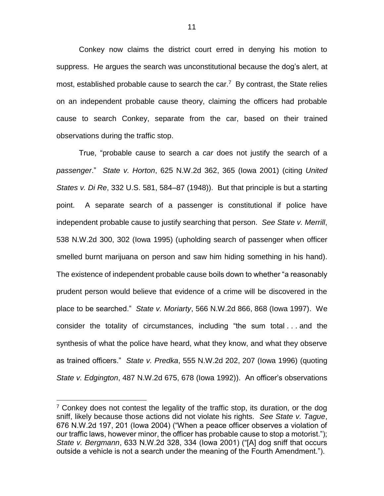Conkey now claims the district court erred in denying his motion to suppress. He argues the search was unconstitutional because the dog's alert, at most, established probable cause to search the car.<sup>7</sup> By contrast, the State relies on an independent probable cause theory, claiming the officers had probable cause to search Conkey, separate from the car, based on their trained observations during the traffic stop.

True, "probable cause to search a *car* does not justify the search of a *passenger*." *State v. Horton*, 625 N.W.2d 362, 365 (Iowa 2001) (citing *United States v. Di Re*, 332 U.S. 581, 584–87 (1948)). But that principle is but a starting point. A separate search of a passenger is constitutional if police have independent probable cause to justify searching that person. *See State v. Merrill*, 538 N.W.2d 300, 302 (Iowa 1995) (upholding search of passenger when officer smelled burnt marijuana on person and saw him hiding something in his hand). The existence of independent probable cause boils down to whether "a reasonably prudent person would believe that evidence of a crime will be discovered in the place to be searched." *State v. Moriarty*, 566 N.W.2d 866, 868 (Iowa 1997). We consider the totality of circumstances, including "the sum total . . . and the synthesis of what the police have heard, what they know, and what they observe as trained officers." *State v. Predka*, 555 N.W.2d 202, 207 (Iowa 1996) (quoting *State v. Edgington*, 487 N.W.2d 675, 678 (Iowa 1992)). An officer's observations

 $7$  Conkey does not contest the legality of the traffic stop, its duration, or the dog sniff, likely because those actions did not violate his rights. *See State v. Tague*, 676 N.W.2d 197, 201 (Iowa 2004) ("When a peace officer observes a violation of our traffic laws, however minor, the officer has probable cause to stop a motorist."); *State v. Bergmann*, 633 N.W.2d 328, 334 (Iowa 2001) ("[A] dog sniff that occurs outside a vehicle is not a search under the meaning of the Fourth Amendment.").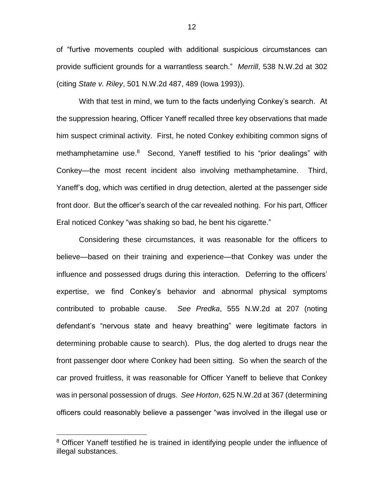of "furtive movements coupled with additional suspicious circumstances can provide sufficient grounds for a warrantless search." *Merrill*, 538 N.W.2d at 302 (citing *State v. Riley*, 501 N.W.2d 487, 489 (Iowa 1993)).

With that test in mind, we turn to the facts underlying Conkey's search. At the suppression hearing, Officer Yaneff recalled three key observations that made him suspect criminal activity. First, he noted Conkey exhibiting common signs of methamphetamine use. 8 Second, Yaneff testified to his "prior dealings" with Conkey—the most recent incident also involving methamphetamine. Third, Yaneff's dog, which was certified in drug detection, alerted at the passenger side front door. But the officer's search of the car revealed nothing. For his part, Officer Eral noticed Conkey "was shaking so bad, he bent his cigarette."

Considering these circumstances, it was reasonable for the officers to believe—based on their training and experience—that Conkey was under the influence and possessed drugs during this interaction. Deferring to the officers' expertise, we find Conkey's behavior and abnormal physical symptoms contributed to probable cause. *See Predka*, 555 N.W.2d at 207 (noting defendant's "nervous state and heavy breathing" were legitimate factors in determining probable cause to search). Plus, the dog alerted to drugs near the front passenger door where Conkey had been sitting. So when the search of the car proved fruitless, it was reasonable for Officer Yaneff to believe that Conkey was in personal possession of drugs. *See Horton*, 625 N.W.2d at 367 (determining officers could reasonably believe a passenger "was involved in the illegal use or

<sup>&</sup>lt;sup>8</sup> Officer Yaneff testified he is trained in identifying people under the influence of illegal substances.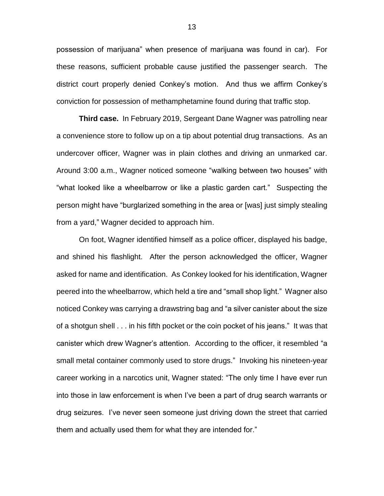possession of marijuana" when presence of marijuana was found in car). For these reasons, sufficient probable cause justified the passenger search. The district court properly denied Conkey's motion. And thus we affirm Conkey's conviction for possession of methamphetamine found during that traffic stop.

**Third case.** In February 2019, Sergeant Dane Wagner was patrolling near a convenience store to follow up on a tip about potential drug transactions. As an undercover officer, Wagner was in plain clothes and driving an unmarked car. Around 3:00 a.m., Wagner noticed someone "walking between two houses" with "what looked like a wheelbarrow or like a plastic garden cart." Suspecting the person might have "burglarized something in the area or [was] just simply stealing from a yard," Wagner decided to approach him.

On foot, Wagner identified himself as a police officer, displayed his badge, and shined his flashlight. After the person acknowledged the officer, Wagner asked for name and identification. As Conkey looked for his identification, Wagner peered into the wheelbarrow, which held a tire and "small shop light." Wagner also noticed Conkey was carrying a drawstring bag and "a silver canister about the size of a shotgun shell . . . in his fifth pocket or the coin pocket of his jeans." It was that canister which drew Wagner's attention. According to the officer, it resembled "a small metal container commonly used to store drugs." Invoking his nineteen-year career working in a narcotics unit, Wagner stated: "The only time I have ever run into those in law enforcement is when I've been a part of drug search warrants or drug seizures. I've never seen someone just driving down the street that carried them and actually used them for what they are intended for."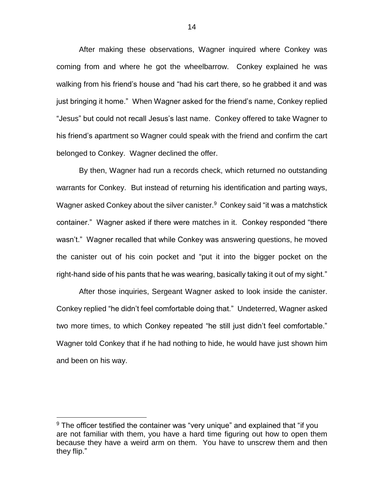After making these observations, Wagner inquired where Conkey was coming from and where he got the wheelbarrow. Conkey explained he was walking from his friend's house and "had his cart there, so he grabbed it and was just bringing it home." When Wagner asked for the friend's name, Conkey replied "Jesus" but could not recall Jesus's last name. Conkey offered to take Wagner to his friend's apartment so Wagner could speak with the friend and confirm the cart belonged to Conkey. Wagner declined the offer.

By then, Wagner had run a records check, which returned no outstanding warrants for Conkey. But instead of returning his identification and parting ways, Wagner asked Conkey about the silver canister.<sup>9</sup> Conkey said "it was a matchstick container." Wagner asked if there were matches in it. Conkey responded "there wasn't." Wagner recalled that while Conkey was answering questions, he moved the canister out of his coin pocket and "put it into the bigger pocket on the right-hand side of his pants that he was wearing, basically taking it out of my sight."

After those inquiries, Sergeant Wagner asked to look inside the canister. Conkey replied "he didn't feel comfortable doing that." Undeterred, Wagner asked two more times, to which Conkey repeated "he still just didn't feel comfortable." Wagner told Conkey that if he had nothing to hide, he would have just shown him and been on his way.

 $9$  The officer testified the container was "very unique" and explained that "if you are not familiar with them, you have a hard time figuring out how to open them because they have a weird arm on them. You have to unscrew them and then they flip."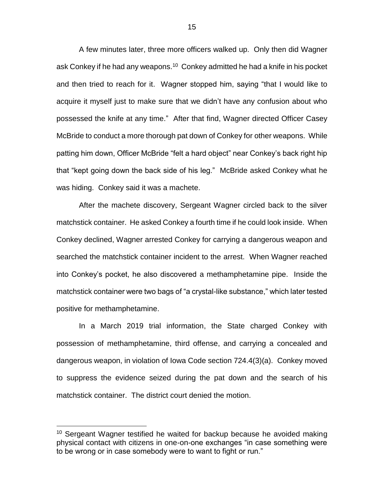A few minutes later, three more officers walked up. Only then did Wagner ask Conkey if he had any weapons.<sup>10</sup> Conkey admitted he had a knife in his pocket and then tried to reach for it. Wagner stopped him, saying "that I would like to acquire it myself just to make sure that we didn't have any confusion about who possessed the knife at any time." After that find, Wagner directed Officer Casey McBride to conduct a more thorough pat down of Conkey for other weapons. While patting him down, Officer McBride "felt a hard object" near Conkey's back right hip that "kept going down the back side of his leg." McBride asked Conkey what he was hiding. Conkey said it was a machete.

After the machete discovery, Sergeant Wagner circled back to the silver matchstick container. He asked Conkey a fourth time if he could look inside. When Conkey declined, Wagner arrested Conkey for carrying a dangerous weapon and searched the matchstick container incident to the arrest. When Wagner reached into Conkey's pocket, he also discovered a methamphetamine pipe. Inside the matchstick container were two bags of "a crystal-like substance," which later tested positive for methamphetamine.

In a March 2019 trial information, the State charged Conkey with possession of methamphetamine, third offense, and carrying a concealed and dangerous weapon, in violation of Iowa Code section 724.4(3)(a). Conkey moved to suppress the evidence seized during the pat down and the search of his matchstick container. The district court denied the motion.

<sup>&</sup>lt;sup>10</sup> Sergeant Wagner testified he waited for backup because he avoided making physical contact with citizens in one-on-one exchanges "in case something were to be wrong or in case somebody were to want to fight or run."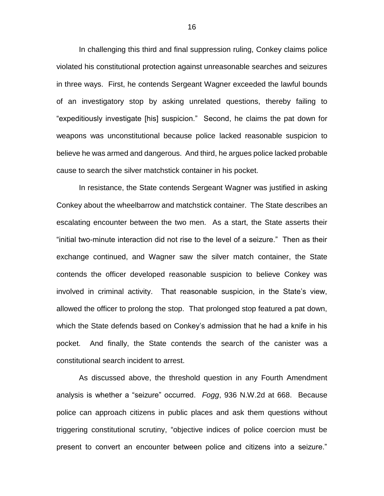In challenging this third and final suppression ruling, Conkey claims police violated his constitutional protection against unreasonable searches and seizures in three ways. First, he contends Sergeant Wagner exceeded the lawful bounds of an investigatory stop by asking unrelated questions, thereby failing to "expeditiously investigate [his] suspicion." Second, he claims the pat down for weapons was unconstitutional because police lacked reasonable suspicion to believe he was armed and dangerous. And third, he argues police lacked probable cause to search the silver matchstick container in his pocket.

In resistance, the State contends Sergeant Wagner was justified in asking Conkey about the wheelbarrow and matchstick container. The State describes an escalating encounter between the two men. As a start, the State asserts their "initial two-minute interaction did not rise to the level of a seizure." Then as their exchange continued, and Wagner saw the silver match container, the State contends the officer developed reasonable suspicion to believe Conkey was involved in criminal activity. That reasonable suspicion, in the State's view, allowed the officer to prolong the stop. That prolonged stop featured a pat down, which the State defends based on Conkey's admission that he had a knife in his pocket. And finally, the State contends the search of the canister was a constitutional search incident to arrest.

As discussed above, the threshold question in any Fourth Amendment analysis is whether a "seizure" occurred. *Fogg*, 936 N.W.2d at 668. Because police can approach citizens in public places and ask them questions without triggering constitutional scrutiny, "objective indices of police coercion must be present to convert an encounter between police and citizens into a seizure."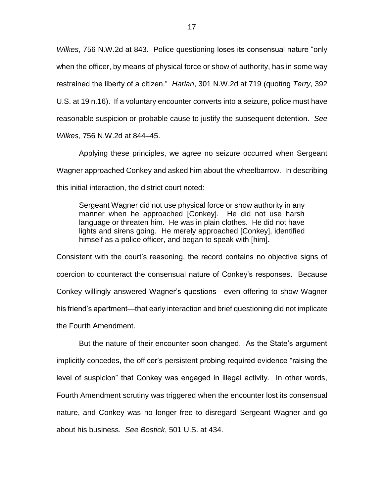*Wilkes*, 756 N.W.2d at 843. Police questioning loses its consensual nature "only when the officer, by means of physical force or show of authority, has in some way restrained the liberty of a citizen." *Harlan*, 301 N.W.2d at 719 (quoting *Terry*, 392 U.S. at 19 n.16). If a voluntary encounter converts into a seizure, police must have reasonable suspicion or probable cause to justify the subsequent detention. *See Wilkes*, 756 N.W.2d at 844–45.

Applying these principles, we agree no seizure occurred when Sergeant Wagner approached Conkey and asked him about the wheelbarrow. In describing this initial interaction, the district court noted:

Sergeant Wagner did not use physical force or show authority in any manner when he approached [Conkey]. He did not use harsh language or threaten him. He was in plain clothes. He did not have lights and sirens going. He merely approached [Conkey], identified himself as a police officer, and began to speak with [him].

Consistent with the court's reasoning, the record contains no objective signs of coercion to counteract the consensual nature of Conkey's responses. Because Conkey willingly answered Wagner's questions—even offering to show Wagner his friend's apartment—that early interaction and brief questioning did not implicate the Fourth Amendment.

But the nature of their encounter soon changed. As the State's argument implicitly concedes, the officer's persistent probing required evidence "raising the level of suspicion" that Conkey was engaged in illegal activity. In other words, Fourth Amendment scrutiny was triggered when the encounter lost its consensual nature, and Conkey was no longer free to disregard Sergeant Wagner and go about his business. *See Bostick*, 501 U.S. at 434.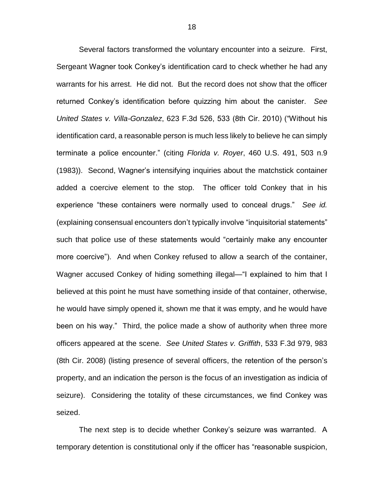Several factors transformed the voluntary encounter into a seizure. First, Sergeant Wagner took Conkey's identification card to check whether he had any warrants for his arrest. He did not. But the record does not show that the officer returned Conkey's identification before quizzing him about the canister. *See United States v. Villa-Gonzalez*, 623 F.3d 526, 533 (8th Cir. 2010) ("Without his identification card, a reasonable person is much less likely to believe he can simply terminate a police encounter." (citing *Florida v. Royer*, 460 U.S. 491, 503 n.9 (1983)). Second, Wagner's intensifying inquiries about the matchstick container added a coercive element to the stop. The officer told Conkey that in his experience "these containers were normally used to conceal drugs." *See id.* (explaining consensual encounters don't typically involve "inquisitorial statements" such that police use of these statements would "certainly make any encounter more coercive"). And when Conkey refused to allow a search of the container, Wagner accused Conkey of hiding something illegal—"I explained to him that I believed at this point he must have something inside of that container, otherwise, he would have simply opened it, shown me that it was empty, and he would have been on his way." Third, the police made a show of authority when three more officers appeared at the scene. *See United States v. Griffith*, 533 F.3d 979, 983 (8th Cir. 2008) (listing presence of several officers, the retention of the person's property, and an indication the person is the focus of an investigation as indicia of seizure). Considering the totality of these circumstances, we find Conkey was seized.

The next step is to decide whether Conkey's seizure was warranted. A temporary detention is constitutional only if the officer has "reasonable suspicion,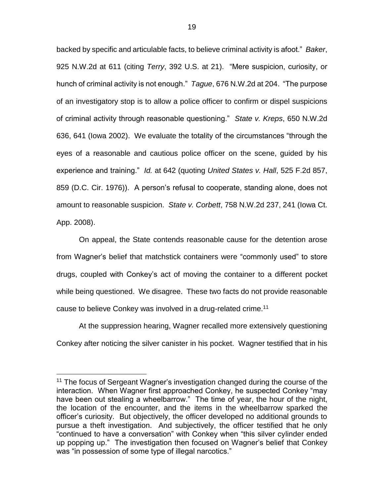backed by specific and articulable facts, to believe criminal activity is afoot." *Baker*, 925 N.W.2d at 611 (citing *Terry*, 392 U.S. at 21). "Mere suspicion, curiosity, or hunch of criminal activity is not enough." *Tague*, 676 N.W.2d at 204. "The purpose of an investigatory stop is to allow a police officer to confirm or dispel suspicions of criminal activity through reasonable questioning." *State v. Kreps*, 650 N.W.2d 636, 641 (Iowa 2002). We evaluate the totality of the circumstances "through the eyes of a reasonable and cautious police officer on the scene, guided by his experience and training." *Id.* at 642 (quoting *United States v. Hall*, 525 F.2d 857, 859 (D.C. Cir. 1976)). A person's refusal to cooperate, standing alone, does not amount to reasonable suspicion. *State v. Corbett*, 758 N.W.2d 237, 241 (Iowa Ct. App. 2008).

On appeal, the State contends reasonable cause for the detention arose from Wagner's belief that matchstick containers were "commonly used" to store drugs, coupled with Conkey's act of moving the container to a different pocket while being questioned. We disagree. These two facts do not provide reasonable cause to believe Conkey was involved in a drug-related crime.<sup>11</sup>

At the suppression hearing, Wagner recalled more extensively questioning Conkey after noticing the silver canister in his pocket. Wagner testified that in his

<sup>&</sup>lt;sup>11</sup> The focus of Sergeant Wagner's investigation changed during the course of the interaction. When Wagner first approached Conkey, he suspected Conkey "may have been out stealing a wheelbarrow." The time of year, the hour of the night, the location of the encounter, and the items in the wheelbarrow sparked the officer's curiosity. But objectively, the officer developed no additional grounds to pursue a theft investigation. And subjectively, the officer testified that he only "continued to have a conversation" with Conkey when "this silver cylinder ended up popping up." The investigation then focused on Wagner's belief that Conkey was "in possession of some type of illegal narcotics."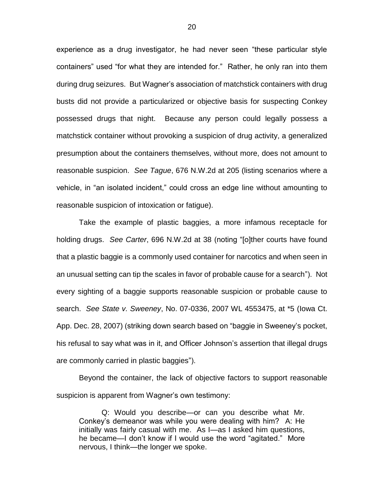experience as a drug investigator, he had never seen "these particular style containers" used "for what they are intended for." Rather, he only ran into them during drug seizures. But Wagner's association of matchstick containers with drug busts did not provide a particularized or objective basis for suspecting Conkey possessed drugs that night. Because any person could legally possess a matchstick container without provoking a suspicion of drug activity, a generalized presumption about the containers themselves, without more, does not amount to reasonable suspicion. *See Tague*, 676 N.W.2d at 205 (listing scenarios where a vehicle, in "an isolated incident," could cross an edge line without amounting to reasonable suspicion of intoxication or fatigue).

Take the example of plastic baggies, a more infamous receptacle for holding drugs. *See Carter*, 696 N.W.2d at 38 (noting "[o]ther courts have found that a plastic baggie is a commonly used container for narcotics and when seen in an unusual setting can tip the scales in favor of probable cause for a search"). Not every sighting of a baggie supports reasonable suspicion or probable cause to search. *See State v. Sweeney*, No. 07-0336, 2007 WL 4553475, at \*5 (Iowa Ct. App. Dec. 28, 2007) (striking down search based on "baggie in Sweeney's pocket, his refusal to say what was in it, and Officer Johnson's assertion that illegal drugs are commonly carried in plastic baggies").

Beyond the container, the lack of objective factors to support reasonable suspicion is apparent from Wagner's own testimony:

Q: Would you describe—or can you describe what Mr. Conkey's demeanor was while you were dealing with him? A: He initially was fairly casual with me. As I—as I asked him questions, he became—I don't know if I would use the word "agitated." More nervous, I think—the longer we spoke.